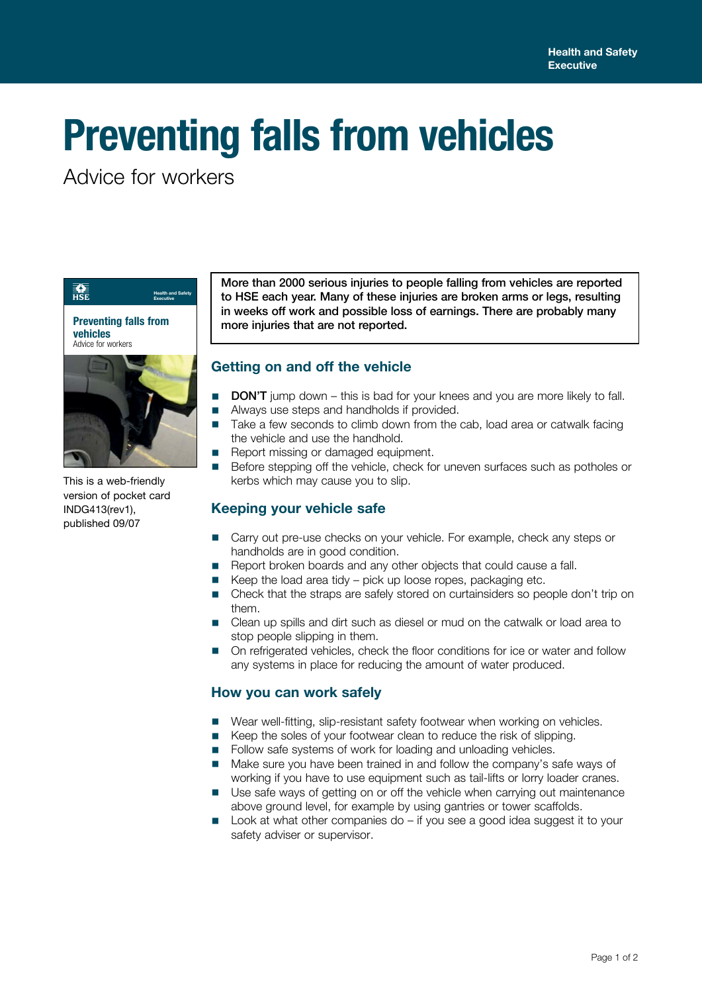# **Preventing falls from vehicles**

Advice for workers



This is a web-friendly version of pocket card INDG413(rev1), published 09/07

More than 2000 serious injuries to people falling from vehicles are reported to HSE each year. Many of these injuries are broken arms or legs, resulting in weeks off work and possible loss of earnings. There are probably many more injuries that are not reported.

## **Getting on and off the vehicle**

- DON'T jump down this is bad for your knees and you are more likely to fall.
- Always use steps and handholds if provided.<br>■ Take a few seconds to climb down from the
- Take a few seconds to climb down from the cab, load area or catwalk facing the vehicle and use the handhold.
- Report missing or damaged equipment.
- Before stepping off the vehicle, check for uneven surfaces such as potholes or kerbs which may cause you to slip.

### **Keeping your vehicle safe**

- Carry out pre-use checks on your vehicle. For example, check any steps or handholds are in good condition.
- Report broken boards and any other objects that could cause a fall.
- Keep the load area tidy pick up loose ropes, packaging etc.
- Check that the straps are safely stored on curtainsiders so people don't trip on them.
- Clean up spills and dirt such as diesel or mud on the catwalk or load area to stop people slipping in them.
- On refrigerated vehicles, check the floor conditions for ice or water and follow any systems in place for reducing the amount of water produced.

### **How you can work safely**

- Wear well-fitting, slip-resistant safety footwear when working on vehicles.
- Keep the soles of your footwear clean to reduce the risk of slipping.
- Follow safe systems of work for loading and unloading vehicles.
- Make sure you have been trained in and follow the company's safe ways of working if you have to use equipment such as tail-lifts or lorry loader cranes.
- Use safe ways of getting on or off the vehicle when carrying out maintenance above ground level, for example by using gantries or tower scaffolds.
- Look at what other companies do  $-$  if you see a good idea suggest it to your safety adviser or supervisor.